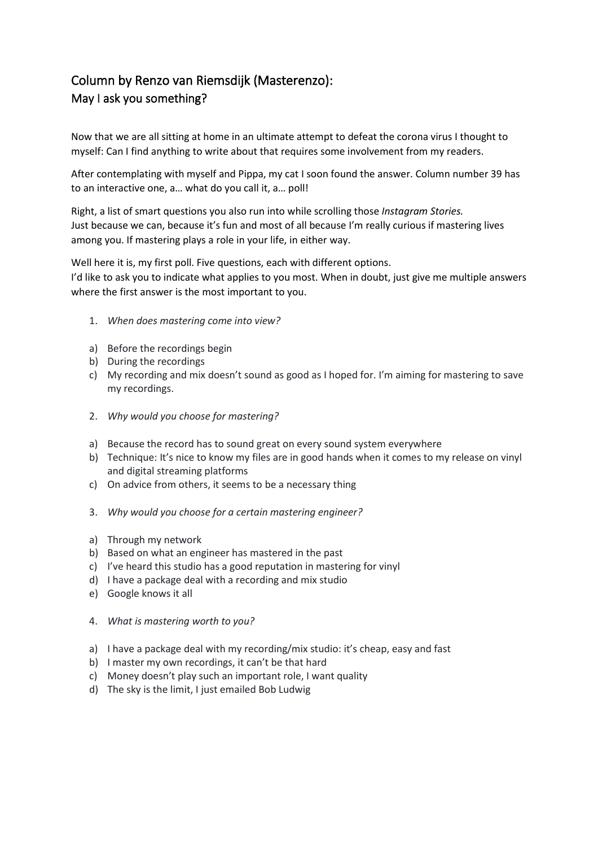## Column by Renzo van Riemsdijk (Masterenzo): May I ask you something?

Now that we are all sitting at home in an ultimate attempt to defeat the corona virus I thought to myself: Can I find anything to write about that requires some involvement from my readers.

After contemplating with myself and Pippa, my cat I soon found the answer. Column number 39 has to an interactive one, a… what do you call it, a… poll!

Right, a list of smart questions you also run into while scrolling those *Instagram Stories.* Just because we can, because it's fun and most of all because I'm really curious if mastering lives among you. If mastering plays a role in your life, in either way.

Well here it is, my first poll. Five questions, each with different options. I'd like to ask you to indicate what applies to you most. When in doubt, just give me multiple answers where the first answer is the most important to you.

- 1. *When does mastering come into view?*
- a) Before the recordings begin
- b) During the recordings
- c) My recording and mix doesn't sound as good as I hoped for. I'm aiming for mastering to save my recordings.
- 2. *Why would you choose for mastering?*
- a) Because the record has to sound great on every sound system everywhere
- b) Technique: It's nice to know my files are in good hands when it comes to my release on vinyl and digital streaming platforms
- c) On advice from others, it seems to be a necessary thing
- 3. *Why would you choose for a certain mastering engineer?*
- a) Through my network
- b) Based on what an engineer has mastered in the past
- c) I've heard this studio has a good reputation in mastering for vinyl
- d) I have a package deal with a recording and mix studio
- e) Google knows it all
- 4. *What is mastering worth to you?*
- a) I have a package deal with my recording/mix studio: it's cheap, easy and fast
- b) I master my own recordings, it can't be that hard
- c) Money doesn't play such an important role, I want quality
- d) The sky is the limit, I just emailed Bob Ludwig